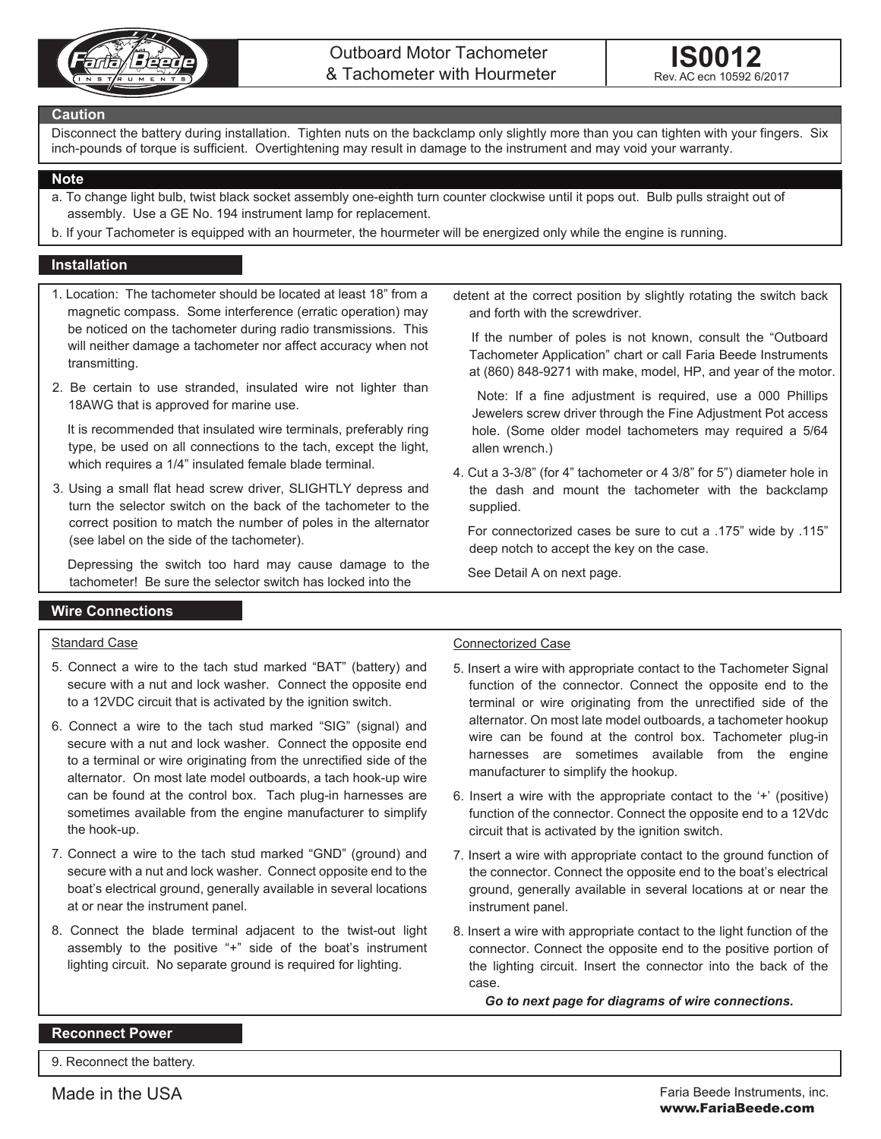



#### **Caution**

Disconnect the battery during installation. Tighten nuts on the backclamp only slightly more than you can tighten with your fingers. Six inch-pounds of torque is sufficient. Overtightening may result in damage to the instrument and may void your warranty.

#### **Note**

- a. To change light bulb, twist black socket assembly one-eighth turn counter clockwise until it pops out. Bulb pulls straight out of assembly. Use a GE No. 194 instrument lamp for replacement.
- b. If your Tachometer is equipped with an hourmeter, the hourmeter will be energized only while the engine is running.

# **Installation**

- 1. Location: The tachometer should be located at least 18" from a magnetic compass. Some interference (erratic operation) may be noticed on the tachometer during radio transmissions. This will neither damage a tachometer nor affect accuracy when not transmitting.
- 2. Be certain to use stranded, insulated wire not lighter than 18AWG that is approved for marine use.

 It is recommended that insulated wire terminals, preferably ring type, be used on all connections to the tach, except the light, which requires a 1/4" insulated female blade terminal.

3. Using a small flat head screw driver, SLIGHTLY depress and turn the selector switch on the back of the tachometer to the correct position to match the number of poles in the alternator (see label on the side of the tachometer).

 Depressing the switch too hard may cause damage to the tachometer! Be sure the selector switch has locked into the

detent at the correct position by slightly rotating the switch back and forth with the screwdriver.

 If the number of poles is not known, consult the "Outboard Tachometer Application" chart or call Faria Beede Instruments at (860) 848-9271 with make, model, HP, and year of the motor.

 Note: If a fine adjustment is required, use a 000 Phillips Jewelers screw driver through the Fine Adjustment Pot access hole. (Some older model tachometers may required a 5/64 allen wrench.)

4. Cut a 3-3/8" (for 4" tachometer or 4 3/8" for 5") diameter hole in the dash and mount the tachometer with the backclamp supplied.

 For connectorized cases be sure to cut a .175" wide by .115" deep notch to accept the key on the case.

See Detail A on next page.

## **Wire Connections**

### Standard Case

- 5. Connect a wire to the tach stud marked "BAT" (battery) and secure with a nut and lock washer. Connect the opposite end to a 12VDC circuit that is activated by the ignition switch.
- 6. Connect a wire to the tach stud marked "SIG" (signal) and secure with a nut and lock washer. Connect the opposite end to a terminal or wire originating from the unrectified side of the alternator. On most late model outboards, a tach hook-up wire can be found at the control box. Tach plug-in harnesses are sometimes available from the engine manufacturer to simplify the hook-up.
- 7. Connect a wire to the tach stud marked "GND" (ground) and secure with a nut and lock washer. Connect opposite end to the boat's electrical ground, generally available in several locations at or near the instrument panel.
- 8. Connect the blade terminal adjacent to the twist-out light assembly to the positive "+" side of the boat's instrument lighting circuit. No separate ground is required for lighting.

## Connectorized Case

- 5. Insert a wire with appropriate contact to the Tachometer Signal function of the connector. Connect the opposite end to the terminal or wire originating from the unrectified side of the alternator. On most late model outboards, a tachometer hookup wire can be found at the control box. Tachometer plug-in harnesses are sometimes available from the engine manufacturer to simplify the hookup.
- 6. Insert a wire with the appropriate contact to the '+' (positive) function of the connector. Connect the opposite end to a 12Vdc circuit that is activated by the ignition switch.
- 7. Insert a wire with appropriate contact to the ground function of the connector. Connect the opposite end to the boat's electrical ground, generally available in several locations at or near the instrument panel.
- 8. Insert a wire with appropriate contact to the light function of the connector. Connect the opposite end to the positive portion of the lighting circuit. Insert the connector into the back of the case.

*Go to next page for diagrams of wire connections.*

## **Reconnect Power**

9. Reconnect the battery.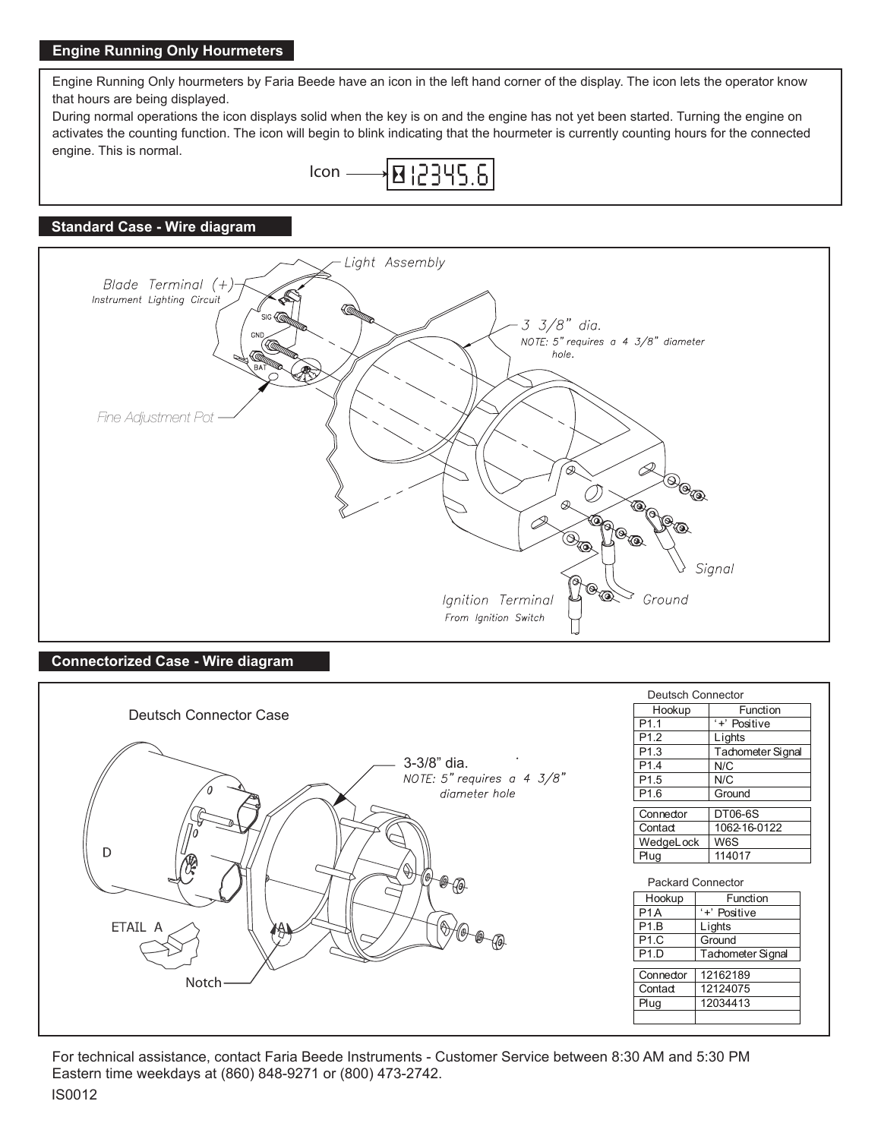# **Engine Running Only Hourmeters**

Engine Running Only hourmeters by Faria Beede have an icon in the left hand corner of the display. The icon lets the operator know that hours are being displayed.

During normal operations the icon displays solid when the key is on and the engine has not yet been started. Turning the engine on activates the counting function. The icon will begin to blink indicating that the hourmeter is currently counting hours for the connected engine. This is normal.



# **Standard Case - Wire diagram**



## **Connectorized Case - Wire diagram**



For technical assistance, contact Faria Beede Instruments - Customer Service between 8:30 AM and 5:30 PM Eastern time weekdays at (860) 848-9271 or (800) 473-2742.

# IS0012